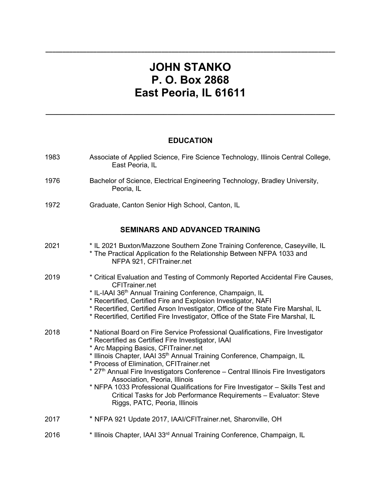# **JOHN STANKO P. O. Box 2868 East Peoria, IL 61611**

**\_\_\_\_\_\_\_\_\_\_\_\_\_\_\_\_\_\_\_\_\_\_\_\_\_\_\_\_\_\_\_\_\_\_\_\_\_\_\_\_\_\_\_\_\_\_\_\_\_\_\_\_\_\_\_\_\_\_\_\_\_\_\_\_\_\_\_\_\_\_\_\_\_\_\_\_\_\_\_\_\_\_\_\_\_**

## **EDUCATION**

**\_\_\_\_\_\_\_\_\_\_\_\_\_\_\_\_\_\_\_\_\_\_\_\_\_\_\_\_\_\_\_\_\_\_\_\_\_\_\_\_\_\_\_\_\_\_\_\_\_\_\_\_\_\_\_\_\_\_\_\_\_\_\_\_\_\_\_\_\_\_\_\_\_\_\_\_**

| 1983 | Associate of Applied Science, Fire Science Technology, Illinois Central College,<br>East Peoria, IL                                                                                                                                                                                                                                                                                                                                                                                                                                                                                                                              |
|------|----------------------------------------------------------------------------------------------------------------------------------------------------------------------------------------------------------------------------------------------------------------------------------------------------------------------------------------------------------------------------------------------------------------------------------------------------------------------------------------------------------------------------------------------------------------------------------------------------------------------------------|
| 1976 | Bachelor of Science, Electrical Engineering Technology, Bradley University,<br>Peoria, IL                                                                                                                                                                                                                                                                                                                                                                                                                                                                                                                                        |
| 1972 | Graduate, Canton Senior High School, Canton, IL                                                                                                                                                                                                                                                                                                                                                                                                                                                                                                                                                                                  |
|      | <b>SEMINARS AND ADVANCED TRAINING</b>                                                                                                                                                                                                                                                                                                                                                                                                                                                                                                                                                                                            |
| 2021 | * IL 2021 Buxton/Mazzone Southern Zone Training Conference, Caseyville, IL<br>* The Practical Application fo the Relationship Between NFPA 1033 and<br>NFPA 921, CFITrainer.net                                                                                                                                                                                                                                                                                                                                                                                                                                                  |
| 2019 | * Critical Evaluation and Testing of Commonly Reported Accidental Fire Causes,<br><b>CFITrainer.net</b><br>* IL-IAAI 36 <sup>th</sup> Annual Training Conference, Champaign, IL<br>* Recertified, Certified Fire and Explosion Investigator, NAFI<br>* Recertified, Certified Arson Investigator, Office of the State Fire Marshal, IL<br>* Recertified, Certified Fire Investigator, Office of the State Fire Marshal, IL                                                                                                                                                                                                       |
| 2018 | * National Board on Fire Service Professional Qualifications, Fire Investigator<br>* Recertified as Certified Fire Investigator, IAAI<br>* Arc Mapping Basics, CFITrainer.net<br>* Illinois Chapter, IAAI 35 <sup>th</sup> Annual Training Conference, Champaign, IL<br>* Process of Elimination, CFITrainer.net<br>* 27th Annual Fire Investigators Conference - Central Illinois Fire Investigators<br>Association, Peoria, Illinois<br>* NFPA 1033 Professional Qualifications for Fire Investigator - Skills Test and<br>Critical Tasks for Job Performance Requirements - Evaluator: Steve<br>Riggs, PATC, Peoria, Illinois |
| 2017 | * NFPA 921 Update 2017, IAAI/CFITrainer.net, Sharonville, OH                                                                                                                                                                                                                                                                                                                                                                                                                                                                                                                                                                     |
| 2016 | * Illinois Chapter, IAAI 33rd Annual Training Conference, Champaign, IL                                                                                                                                                                                                                                                                                                                                                                                                                                                                                                                                                          |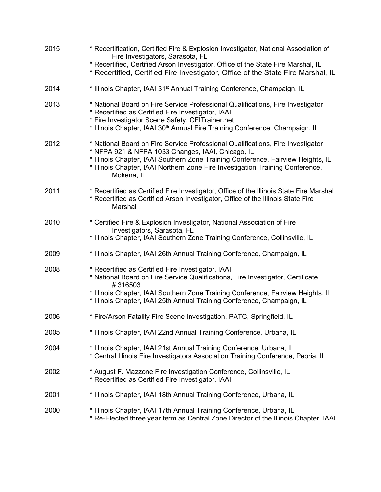| 2015 | * Recertification, Certified Fire & Explosion Investigator, National Association of<br>Fire Investigators, Sarasota, FL<br>* Recertified, Certified Arson Investigator, Office of the State Fire Marshal, IL<br>* Recertified, Certified Fire Investigator, Office of the State Fire Marshal, IL                         |  |
|------|--------------------------------------------------------------------------------------------------------------------------------------------------------------------------------------------------------------------------------------------------------------------------------------------------------------------------|--|
| 2014 | * Illinois Chapter, IAAI 31 <sup>st</sup> Annual Training Conference, Champaign, IL                                                                                                                                                                                                                                      |  |
| 2013 | * National Board on Fire Service Professional Qualifications, Fire Investigator<br>* Recertified as Certified Fire Investigator, IAAI<br>* Fire Investigator Scene Safety, CFITrainer.net<br>* Illinois Chapter, IAAI 30 <sup>th</sup> Annual Fire Training Conference, Champaign, IL                                    |  |
| 2012 | * National Board on Fire Service Professional Qualifications, Fire Investigator<br>* NFPA 921 & NFPA 1033 Changes, IAAI, Chicago, IL<br>* Illinois Chapter, IAAI Southern Zone Training Conference, Fairview Heights, IL<br>* Illinois Chapter, IAAI Northern Zone Fire Investigation Training Conference,<br>Mokena, IL |  |
| 2011 | * Recertified as Certified Fire Investigator, Office of the Illinois State Fire Marshal<br>* Recertified as Certified Arson Investigator, Office of the Illinois State Fire<br>Marshal                                                                                                                                   |  |
| 2010 | * Certified Fire & Explosion Investigator, National Association of Fire<br>Investigators, Sarasota, FL<br>* Illinois Chapter, IAAI Southern Zone Training Conference, Collinsville, IL                                                                                                                                   |  |
| 2009 | * Illinois Chapter, IAAI 26th Annual Training Conference, Champaign, IL                                                                                                                                                                                                                                                  |  |
| 2008 | * Recertified as Certified Fire Investigator, IAAI<br>* National Board on Fire Service Qualifications, Fire Investigator, Certificate<br>#316503                                                                                                                                                                         |  |
|      | * Illinois Chapter, IAAI Southern Zone Training Conference, Fairview Heights, IL<br>* Illinois Chapter, IAAI 25th Annual Training Conference, Champaign, IL                                                                                                                                                              |  |
| 2006 | * Fire/Arson Fatality Fire Scene Investigation, PATC, Springfield, IL                                                                                                                                                                                                                                                    |  |
| 2005 | * Illinois Chapter, IAAI 22nd Annual Training Conference, Urbana, IL                                                                                                                                                                                                                                                     |  |
| 2004 | * Illinois Chapter, IAAI 21st Annual Training Conference, Urbana, IL<br>* Central Illinois Fire Investigators Association Training Conference, Peoria, IL                                                                                                                                                                |  |
| 2002 | * August F. Mazzone Fire Investigation Conference, Collinsville, IL<br>* Recertified as Certified Fire Investigator, IAAI                                                                                                                                                                                                |  |
| 2001 | * Illinois Chapter, IAAI 18th Annual Training Conference, Urbana, IL                                                                                                                                                                                                                                                     |  |
| 2000 | * Illinois Chapter, IAAI 17th Annual Training Conference, Urbana, IL<br>* Re-Elected three year term as Central Zone Director of the Illinois Chapter, IAAI                                                                                                                                                              |  |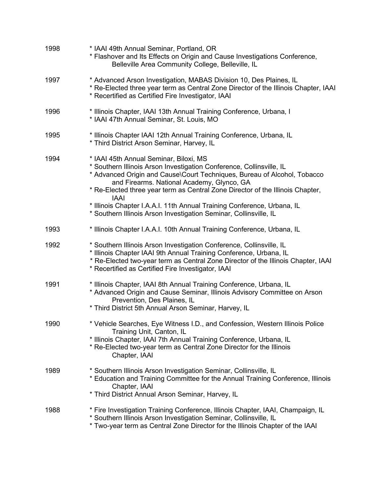| 1998 | * IAAI 49th Annual Seminar, Portland, OR<br>* Flashover and Its Effects on Origin and Cause Investigations Conference,<br>Belleville Area Community College, Belleville, IL                                                                                                                                                                                                                                                                                                               |  |  |
|------|-------------------------------------------------------------------------------------------------------------------------------------------------------------------------------------------------------------------------------------------------------------------------------------------------------------------------------------------------------------------------------------------------------------------------------------------------------------------------------------------|--|--|
| 1997 | * Advanced Arson Investigation, MABAS Division 10, Des Plaines, IL<br>* Re-Elected three year term as Central Zone Director of the Illinois Chapter, IAAI<br>* Recertified as Certified Fire Investigator, IAAI                                                                                                                                                                                                                                                                           |  |  |
| 1996 | * Illinois Chapter, IAAI 13th Annual Training Conference, Urbana, I<br>* IAAI 47th Annual Seminar, St. Louis, MO                                                                                                                                                                                                                                                                                                                                                                          |  |  |
| 1995 | * Illinois Chapter IAAI 12th Annual Training Conference, Urbana, IL<br>* Third District Arson Seminar, Harvey, IL                                                                                                                                                                                                                                                                                                                                                                         |  |  |
| 1994 | * IAAI 45th Annual Seminar, Biloxi, MS<br>* Southern Illinois Arson Investigation Conference, Collinsville, IL<br>* Advanced Origin and Cause\Court Techniques, Bureau of Alcohol, Tobacco<br>and Firearms. National Academy, Glynco, GA<br>* Re-Elected three year term as Central Zone Director of the Illinois Chapter,<br><b>IAAI</b><br>* Illinois Chapter I.A.A.I. 11th Annual Training Conference, Urbana, IL<br>* Southern Illinois Arson Investigation Seminar, Collinsville, IL |  |  |
| 1993 | * Illinois Chapter I.A.A.I. 10th Annual Training Conference, Urbana, IL                                                                                                                                                                                                                                                                                                                                                                                                                   |  |  |
| 1992 | * Southern Illinois Arson Investigation Conference, Collinsville, IL<br>* Illinois Chapter IAAI 9th Annual Training Conference, Urbana, IL<br>* Re-Elected two-year term as Central Zone Director of the Illinois Chapter, IAAI<br>* Recertified as Certified Fire Investigator, IAAI                                                                                                                                                                                                     |  |  |
| 1991 | * Illinois Chapter, IAAI 8th Annual Training Conference, Urbana, IL<br>* Advanced Origin and Cause Seminar, Illinois Advisory Committee on Arson<br>Prevention, Des Plaines, IL<br>* Third District 5th Annual Arson Seminar, Harvey, IL                                                                                                                                                                                                                                                  |  |  |
| 1990 | * Vehicle Searches, Eye Witness I.D., and Confession, Western Illinois Police<br>Training Unit, Canton, IL<br>* Illinois Chapter, IAAI 7th Annual Training Conference, Urbana, IL<br>* Re-Elected two-year term as Central Zone Director for the Illinois<br>Chapter, IAAI                                                                                                                                                                                                                |  |  |
| 1989 | * Southern Illinois Arson Investigation Seminar, Collinsville, IL<br>* Education and Training Committee for the Annual Training Conference, Illinois<br>Chapter, IAAI<br>* Third District Annual Arson Seminar, Harvey, IL                                                                                                                                                                                                                                                                |  |  |
| 1988 | * Fire Investigation Training Conference, Illinois Chapter, IAAI, Champaign, IL<br>* Southern Illinois Arson Investigation Seminar, Collinsville, IL<br>* Two-year term as Central Zone Director for the Illinois Chapter of the IAAI                                                                                                                                                                                                                                                     |  |  |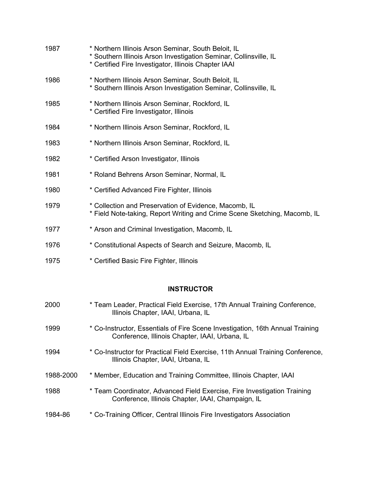| 1987 | * Northern Illinois Arson Seminar, South Beloit, IL<br>* Southern Illinois Arson Investigation Seminar, Collinsville, IL<br>* Certified Fire Investigator, Illinois Chapter IAAI |
|------|----------------------------------------------------------------------------------------------------------------------------------------------------------------------------------|
| 1986 | * Northern Illinois Arson Seminar, South Beloit, IL<br>* Southern Illinois Arson Investigation Seminar, Collinsville, IL                                                         |
| 1985 | * Northern Illinois Arson Seminar, Rockford, IL<br>* Certified Fire Investigator, Illinois                                                                                       |
| 1984 | * Northern Illinois Arson Seminar, Rockford, IL                                                                                                                                  |
| 1983 | * Northern Illinois Arson Seminar, Rockford, IL                                                                                                                                  |
| 1982 | * Certified Arson Investigator, Illinois                                                                                                                                         |
| 1981 | * Roland Behrens Arson Seminar, Normal, IL                                                                                                                                       |
| 1980 | * Certified Advanced Fire Fighter, Illinois                                                                                                                                      |
| 1979 | * Collection and Preservation of Evidence, Macomb, IL<br>* Field Note-taking, Report Writing and Crime Scene Sketching, Macomb, IL                                               |
| 1977 | * Arson and Criminal Investigation, Macomb, IL                                                                                                                                   |
| 1976 | * Constitutional Aspects of Search and Seizure, Macomb, IL                                                                                                                       |

1975 **\* Certified Basic Fire Fighter, Illinois** 

## **INSTRUCTOR**

| 2000      | * Team Leader, Practical Field Exercise, 17th Annual Training Conference,<br>Illinois Chapter, IAAI, Urbana, IL                 |
|-----------|---------------------------------------------------------------------------------------------------------------------------------|
| 1999      | * Co-Instructor, Essentials of Fire Scene Investigation, 16th Annual Training<br>Conference, Illinois Chapter, IAAI, Urbana, IL |
| 1994      | * Co-Instructor for Practical Field Exercise, 11th Annual Training Conference,<br>Illinois Chapter, IAAI, Urbana, IL            |
| 1988-2000 | * Member, Education and Training Committee, Illinois Chapter, IAAI                                                              |
| 1988      | * Team Coordinator, Advanced Field Exercise, Fire Investigation Training<br>Conference, Illinois Chapter, IAAI, Champaign, IL   |
| 1984-86   | * Co-Training Officer, Central Illinois Fire Investigators Association                                                          |